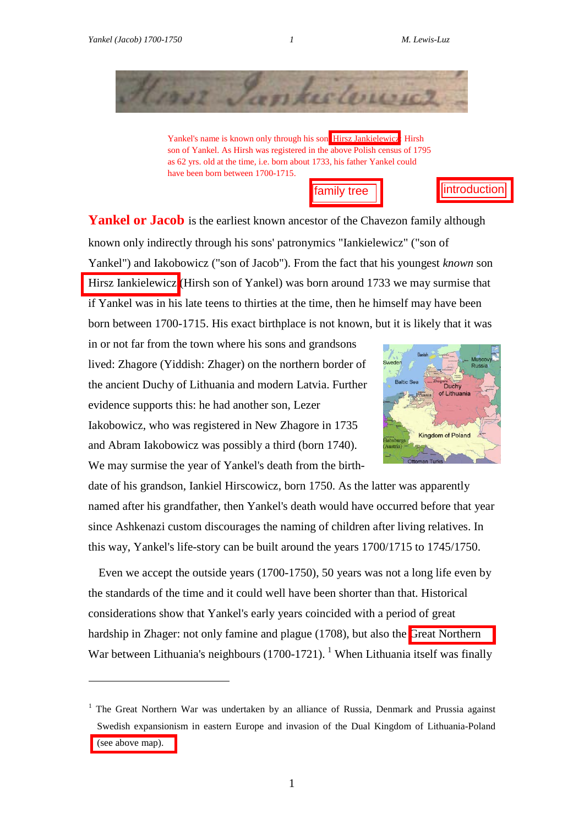$\overline{a}$ 



Yankel's name is known only through his son[, Hirsz Jankielewicz](http://research.haifa.ac.il/~mluz/family.pdf/Hirscz.Yankelowicz.pdf): Hirsh son of Yankel. As Hirsh was registered in the above Polish census of 1795 as 62 yrs. old at the time, i.e. born about 1733, his father Yankel could have been born between 1700-1715.



Yankel or Jacob is the earliest known ancestor of the Chavezon family although known only indirectly through his sons' patronymics "Iankielewicz" ("son of Yankel") and Iakobowicz ("son of Jacob"). From the fact that his youngest *known* son Hirsz [Iankielewicz](http://research.haifa.ac.il/~mluz/family.pdf/Hirscz.Yankelowicz.pdf) (Hirsh son of Yankel) was born around 1733 we may surmise that if Yankel was in his late teens to thirties at the time, then he himself may have been born between 1700-1715. His exact birthplace is not known, but it is likely that it was

in or not far from the town where his sons and grandsons lived: Zhagore (Yiddish: Zhager) on the northern border of the ancient Duchy of Lithuania and modern Latvia. Further evidence supports this: he had another son, Lezer Iakobowicz, who was registered in New Zhagore in 1735 and Abram Iakobowicz was possibly a third (born 1740). We may surmise the year of Yankel's death from the birth-



date of his grandson, Iankiel Hirscowicz, born 1750. As the latter was apparently named after his grandfather, then Yankel's death would have occurred before that year since Ashkenazi custom discourages the naming of children after living relatives. In this way, Yankel's life-story can be built around the years 1700/1715 to 1745/1750.

Even we accept the outside years (1700-1750), 50 years was not a long life even by the standards of the time and it could well have been shorter than that. Historical considerations show that Yankel's early years coincided with a period of great hardship in Zhager: not only famine and plague (1708), but also the [Great Northern](http://research.haifa.ac.il/~mluz/family.pdf/northern.war.pdf)  War between Lithuania's neighbours (1700-1721). <sup>1</sup> When Lithuania itself was finally

 $1$  The Great Northern War was undertaken by an alliance of Russia, Denmark and Prussia against Swedish expansionism in eastern Europe and invasion of the Dual Kingdom of Lithuania-Poland [\(see above map\).](http://research.haifa.ac.il/~mluz/family.pdf/northern.war.pdf)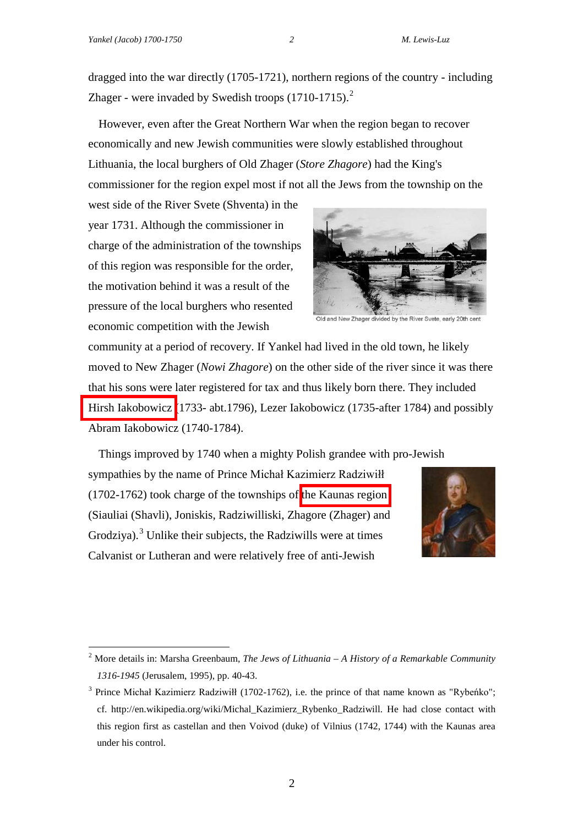dragged into the war directly (1705-1721), northern regions of the country - including Zhager - were invaded by Swedish troops (1710-1715).<sup>2</sup>

However, even after the Great Northern War when the region began to recover economically and new Jewish communities were slowly established throughout Lithuania, the local burghers of Old Zhager (*Store Zhagore*) had the King's commissioner for the region expel most if not all the Jews from the township on the

west side of the River Svete (Shventa) in the year 1731. Although the commissioner in charge of the administration of the townships of this region was responsible for the order, the motivation behind it was a result of the pressure of the local burghers who resented economic competition with the Jewish



Old and New Zhager divided by the River Syete, early 20th cen

community at a period of recovery. If Yankel had lived in the old town, he likely moved to New Zhager (*Nowi Zhagore*) on the other side of the river since it was there that his sons were later registered for tax and thus likely born there. They included [Hirsh Iakobowicz \(](http://research.haifa.ac.il/~mluz/family.pdf/Hirscz.Yankelowicz.pdf)1733- abt.1796), Lezer Iakobowicz (1735-after 1784) and possibly Abram Iakobowicz (1740-1784).

Things improved by 1740 when a mighty Polish grandee with pro-Jewish sympathies by the name of Prince Michał Kazimierz Radziwiłł

(1702-1762) took charge of the townships of [the Kaunas region](http://research.haifa.ac.il/~mluz/family.pdf/lithuaniamap2.pdf)  (Siauliai (Shavli), Joniskis, Radziwilliski, Zhagore (Zhager) and Grodziya).<sup>3</sup> Unlike their subjects, the Radziwills were at times Calvanist or Lutheran and were relatively free of anti-Jewish



 <sup>2</sup> More details in: Marsha Greenbaum, *The Jews of Lithuania – A History of a Remarkable Community 1316-1945* (Jerusalem, 1995), pp. 40-43.

<sup>&</sup>lt;sup>3</sup> Prince Michał Kazimierz Radziwiłł (1702-1762), i.e. the prince of that name known as "Rybeńko"; cf. http://en.wikipedia.org/wiki/Michal\_Kazimierz\_Rybenko\_Radziwill. He had close contact with this region first as castellan and then Voivod (duke) of Vilnius (1742, 1744) with the Kaunas area under his control.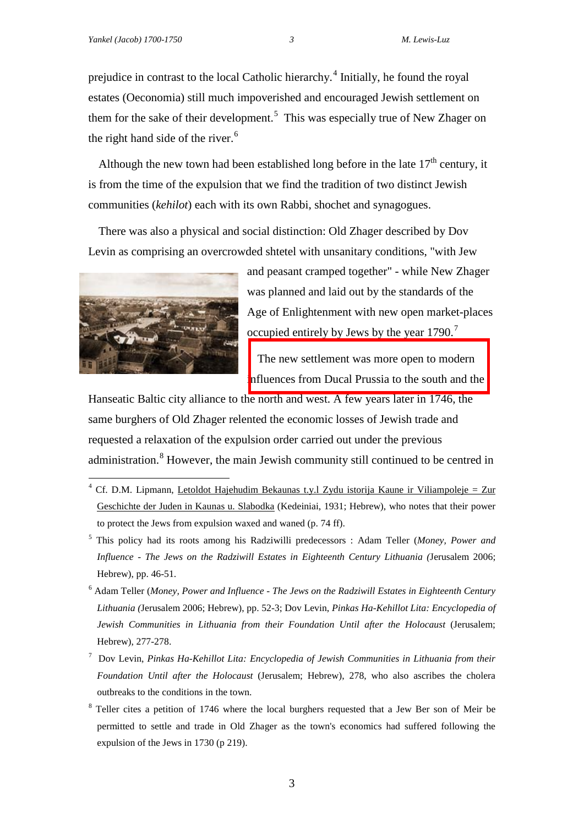prejudice in contrast to the local Catholic hierarchy.<sup>4</sup> Initially, he found the royal estates (Oeconomia) still much impoverished and encouraged Jewish settlement on them for the sake of their development.<sup>5</sup> This was especially true of New Zhager on the right hand side of the river.<sup>6</sup>

Although the new town had been established long before in the late  $17<sup>th</sup>$  century, it is from the time of the expulsion that we find the tradition of two distinct Jewish communities (*kehilot*) each with its own Rabbi, shochet and synagogues.

There was also a physical and social distinction: Old Zhager described by Dov Levin as comprising an overcrowded shtetel with unsanitary conditions, "with Jew



and peasant cramped together" - while New Zhager was planned and laid out by the standards of the Age of Enlightenment with new open market-places occupied entirely by Jews by the year 1790.<sup>7</sup>

[The new settlement was more open to modern](http://research.haifa.ac.il/~mluz/family.pdf/wiki.map2.pdf) influences from Ducal Prussia to the south and the

Hanseatic Baltic city alliance to the north and west. A few years later in 1746, the same burghers of Old Zhager relented the economic losses of Jewish trade and requested a relaxation of the expulsion order carried out under the previous administration.<sup>8</sup> However, the main Jewish community still continued to be centred in

- $4$  Cf. D.M. Lipmann, Letoldot Hajehudim Bekaunas t.y.l Zydu istorija Kaune ir Viliampoleje = Zur Geschichte der Juden in Kaunas u. Slabodka (Kedeiniai, 1931; Hebrew), who notes that their power to protect the Jews from expulsion waxed and waned (p. 74 ff).
- <sup>5</sup> This policy had its roots among his Radziwilli predecessors : Adam Teller (*Money, Power and Influence - The Jews on the Radziwill Estates in Eighteenth Century Lithuania (*Jerusalem 2006; Hebrew), pp. 46-51.
- <sup>6</sup> Adam Teller (*Money, Power and Influence - The Jews on the Radziwill Estates in Eighteenth Century Lithuania (*Jerusalem 2006; Hebrew), pp. 52-3; Dov Levin, *Pinkas Ha-Kehillot Lita: Encyclopedia of Jewish Communities in Lithuania from their Foundation Until after the Holocaust* (Jerusalem; Hebrew), 277-278.
- <sup>7</sup> Dov Levin, *Pinkas Ha-Kehillot Lita: Encyclopedia of Jewish Communities in Lithuania from their Foundation Until after the Holocaust* (Jerusalem; Hebrew), 278, who also ascribes the cholera outbreaks to the conditions in the town.
- <sup>8</sup> Teller cites a petition of 1746 where the local burghers requested that a Jew Ber son of Meir be permitted to settle and trade in Old Zhager as the town's economics had suffered following the expulsion of the Jews in 1730 (p 219).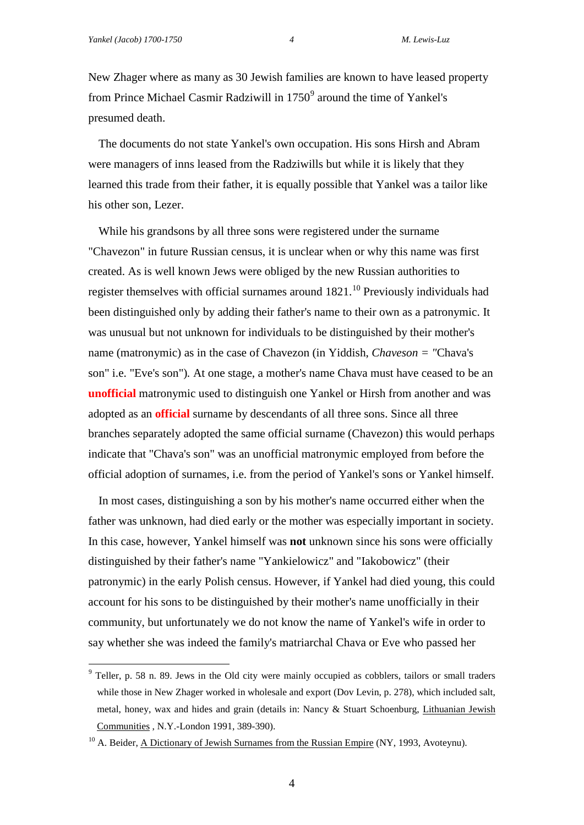New Zhager where as many as 30 Jewish families are known to have leased property from Prince Michael Casmir Radziwill in 1750<sup>9</sup> around the time of Yankel's presumed death.

The documents do not state Yankel's own occupation. His sons Hirsh and Abram were managers of inns leased from the Radziwills but while it is likely that they learned this trade from their father, it is equally possible that Yankel was a tailor like his other son, Lezer.

While his grandsons by all three sons were registered under the surname "Chavezon" in future Russian census, it is unclear when or why this name was first created. As is well known Jews were obliged by the new Russian authorities to register themselves with official surnames around 1821.<sup>10</sup> Previously individuals had been distinguished only by adding their father's name to their own as a patronymic. It was unusual but not unknown for individuals to be distinguished by their mother's name (matronymic) as in the case of Chavezon (in Yiddish, *Chaveson = "*Chava's son" i.e. "Eve's son")*.* At one stage, a mother's name Chava must have ceased to be an **unofficial** matronymic used to distinguish one Yankel or Hirsh from another and was adopted as an **official** surname by descendants of all three sons. Since all three branches separately adopted the same official surname (Chavezon) this would perhaps indicate that "Chava's son" was an unofficial matronymic employed from before the official adoption of surnames, i.e. from the period of Yankel's sons or Yankel himself.

In most cases, distinguishing a son by his mother's name occurred either when the father was unknown, had died early or the mother was especially important in society. In this case, however, Yankel himself was **not** unknown since his sons were officially distinguished by their father's name "Yankielowicz" and "Iakobowicz" (their patronymic) in the early Polish census. However, if Yankel had died young, this could account for his sons to be distinguished by their mother's name unofficially in their community, but unfortunately we do not know the name of Yankel's wife in order to say whether she was indeed the family's matriarchal Chava or Eve who passed her

4

<sup>&</sup>lt;sup>9</sup> Teller, p. 58 n. 89. Jews in the Old city were mainly occupied as cobblers, tailors or small traders while those in New Zhager worked in wholesale and export (Dov Levin, p. 278), which included salt, metal, honey, wax and hides and grain (details in: Nancy & Stuart Schoenburg, Lithuanian Jewish Communities , N.Y.-London 1991, 389-390).

<sup>&</sup>lt;sup>10</sup> A. Beider, <u>A Dictionary of Jewish Surnames from the Russian Empire</u> (NY, 1993, Avoteynu).